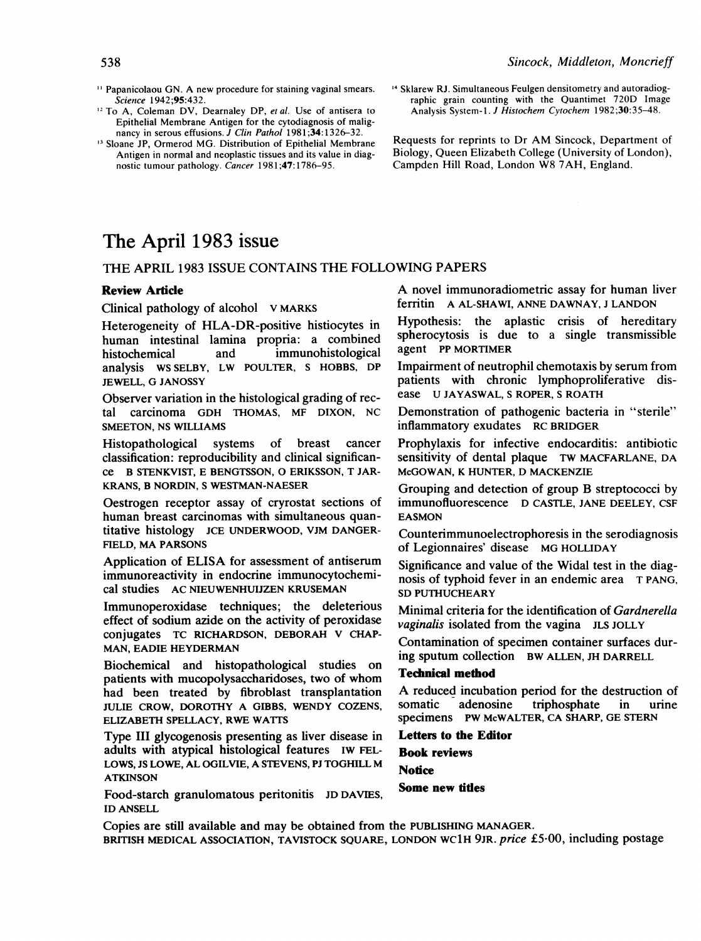- <sup>11</sup> Papanicolaou GN. A new procedure for staining vaginal smears. Science 1942;95:432.
- <sup>12</sup> To A, Coleman DV, Dearnaley DP, et al. Use of antisera to Epithelial Membrane Antigen for the cytodiagnosis of malignancy in serous effusions. J Clin Pathol 1981;34:1326-32.
- <sup>13</sup> Sloane JP, Ormerod MG. Distribution of Epithelial Membrane Antigen in normal and neoplastic tissues and its value in diagnostic tumour pathology. Cancer 1981;47:1786-95.
- <sup>14</sup> Sklarew RJ. Simultaneous Feulgen densitometry and autoradiographic grain counting with the Quantimet 720D Image Analysis System-1. J Histochem Cytochem 1982;30:35-48.

Requests for reprints to Dr AM Sincock, Department of Biology, Queen Elizabeth College (University of London), Campden Hill Road, London W8 7AH, England.

# The April 1983 issue

### THE APRIL <sup>1983</sup> ISSUE CONTAINS THE FOLLOWING PAPERS

#### Review Article

Clinical pathology of alcohol V MARKS

Heterogeneity of HLA-DR-positive histiocytes in human intestinal lamina propria: a combined histochemical and immunohistological analysis WS SELBY, LW POULTER, <sup>S</sup> HOBBS, DP JEWELL, G JANOSSY

Observer variation in the histological grading of rectal carcinoma GDH THOMAS, MF DIXON, NC SMEETON, NS WILLIAMS

Histopathological systems of breast cancer classification: reproducibility and clinical significance B STENKVIST, E BENGTSSON, 0 ERIKSSON, T JAR-KRANS, B NORDIN, <sup>S</sup> WESTMAN-NAESER

Oestrogen receptor assay of cryrostat sections of human breast carcinomas with simultaneous quantitative histology JCE UNDERWOOD, VJM DANGER-FIELD, MA PARSONS

Application of ELISA for assessment of antiserum immunoreactivity in endocrine immunocytochemical studies AC NIEUWENHUIJZEN KRUSEMAN

Immunoperoxidase techniques; the deleterious effect of sodium azide on the activity of peroxidase conjugates TC RICHARDSON, DEBORAH V CHAP-MAN, EADIE HEYDERMAN

Biochemical and histopathological studies on patients with mucopolysaccharidoses, two of whom had been treated by fibroblast transplantation JULIE CROW, DOROTHY A GIBBS, WENDY COZENS, ELIZABETH SPELLACY, RWE WATITS

Type III glycogenosis presenting as liver disease in adults with atypical histological features IW FEL-LOWS, JS LOWE, AL OGILVIE, A STEVENS, PJ TOGHILL M ATKINSON

Food-starch granulomatous peritonitis JD DAVIES, ID ANSELL

A novel immunoradiometric assay for human liver ferritin A AL-SHAWI, ANNE DAWNAY, <sup>J</sup> LANDON

Hypothesis: the aplastic crisis of hereditary spherocytosis is due to a single transmissible agent PP MORTIMER

Impairment of neutrophil chemotaxis by serum from patients with chronic lymphoproliferative disease U JAYASWAL, <sup>S</sup> ROPER, <sup>S</sup> ROATH

Demonstration of pathogenic bacteria in "sterile" inflammatory exudates RC BRIDGER

Prophylaxis for infective endocarditis: antibiotic sensitivity of dental plaque TW MACFARLANE, DA McGOWAN, K HUNTER, D MACKENZIE

Grouping and detection of group B streptococci by immunofluorescence D CASTLE, JANE DEELEY, CSF EASMON

Counterimmunoelectrophoresis in the serodiagnosis of Legionnaires' disease MG HOLLIDAY

Significance and value of the Widal test in the diagnosis of typhoid fever in an endemic area T PANG, SD PUTHUCHEARY

Minimal criteria for the identification of Gardnerella vaginalis isolated from the vagina JLS JOLLY

Contamination of specimen container surfaces during sputum collection BW ALLEN, JH DARRELL

#### Technical method

A reduced incubation period for the destruction of<br>somatic adenosine triphosphate in urine triphosphate in urine specimens PW McWALTER, CA SHARP, GE STERN

Letters to the Editor Book reviews **Notice** Some new titles

Copies are still available and may be obtained from the PUBLISHING MANAGER. BRITISH MEDICAL ASSOCIATION, TAVISTOCK SQUARE, LONDON WC1H 9JR. price £5-00, including postage